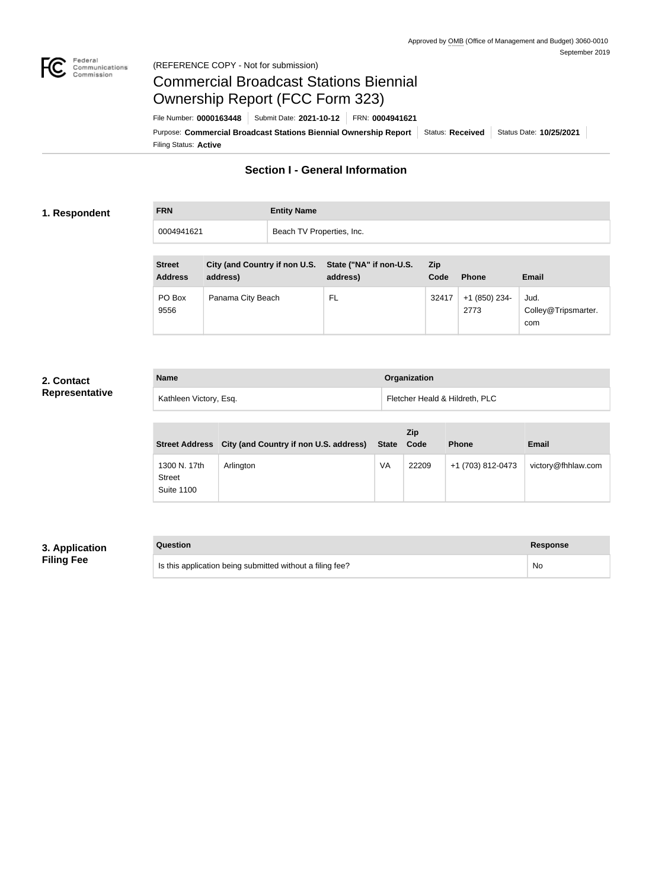

#### Federal<br>Communications<br>Commission (REFERENCE COPY - Not for submission)

# Commercial Broadcast Stations Biennial Ownership Report (FCC Form 323)

Filing Status: **Active** Purpose: Commercial Broadcast Stations Biennial Ownership Report Status: Received Status Date: 10/25/2021 File Number: **0000163448** Submit Date: **2021-10-12** FRN: **0004941621**

## **Section I - General Information**

#### **1. Respondent**

**FRN Entity Name** 0004941621 **Beach TV Properties, Inc.** 

| <b>Street</b><br><b>Address</b> | City (and Country if non U.S.<br>address) | State ("NA" if non-U.S.<br>address) | <b>Zip</b><br>Code | <b>Phone</b>          | <b>Email</b>                       |
|---------------------------------|-------------------------------------------|-------------------------------------|--------------------|-----------------------|------------------------------------|
| PO Box<br>9556                  | Panama City Beach                         | FL                                  | 32417              | +1 (850) 234-<br>2773 | Jud.<br>Colley@Tripsmarter.<br>com |

#### **2. Contact Representative**

| <b>Name</b>            | Organization                   |
|------------------------|--------------------------------|
| Kathleen Victory, Esq. | Fletcher Heald & Hildreth, PLC |

| <b>Street Address</b>                              | City (and Country if non U.S. address) | State | <b>Zip</b><br>Code | <b>Phone</b>      | <b>Email</b>       |
|----------------------------------------------------|----------------------------------------|-------|--------------------|-------------------|--------------------|
| 1300 N. 17th<br><b>Street</b><br><b>Suite 1100</b> | Arlington                              | VA    | 22209              | +1 (703) 812-0473 | victory@fhhlaw.com |

#### **3. Application Filing Fee**

| Question                                                  | <b>Response</b> |
|-----------------------------------------------------------|-----------------|
| Is this application being submitted without a filing fee? | No              |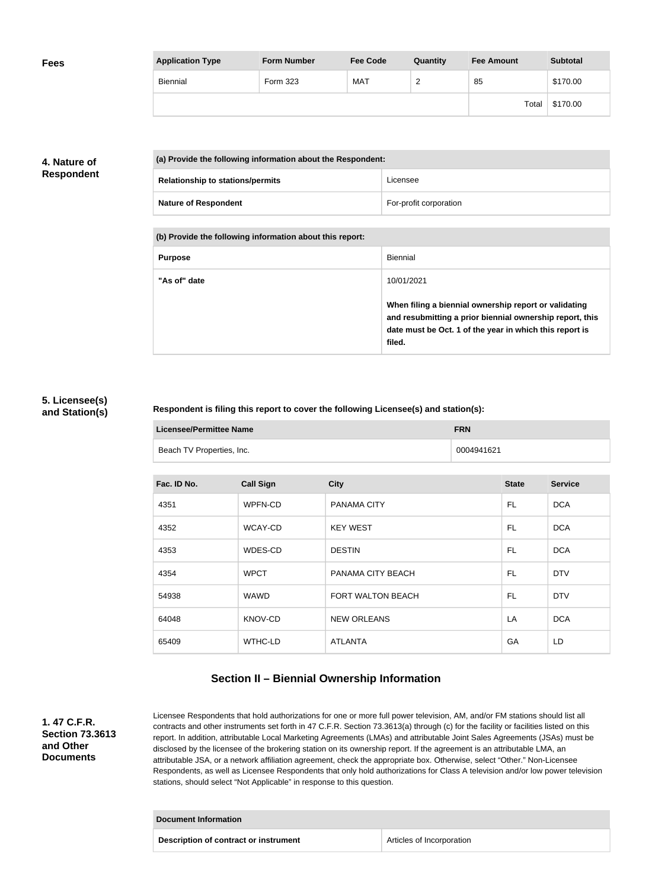| <b>Fees</b> | <b>Application Type</b> | <b>Form Number</b> | <b>Fee Code</b> | Quantity           | <b>Fee Amount</b> | <b>Subtotal</b> |
|-------------|-------------------------|--------------------|-----------------|--------------------|-------------------|-----------------|
|             | Biennial                | Form 323           | <b>MAT</b>      | $\sim$<br><u>_</u> | 85                | \$170.00        |
|             |                         |                    |                 |                    | Total             | \$170.00        |

#### **4. Nature of Respondent**

| (a) Provide the following information about the Respondent: |                        |
|-------------------------------------------------------------|------------------------|
| <b>Relationship to stations/permits</b>                     | Licensee               |
| <b>Nature of Respondent</b>                                 | For-profit corporation |

**(b) Provide the following information about this report:**

| <b>Purpose</b> | Biennial                                                                                                                                                                               |
|----------------|----------------------------------------------------------------------------------------------------------------------------------------------------------------------------------------|
| "As of" date   | 10/01/2021                                                                                                                                                                             |
|                | When filing a biennial ownership report or validating<br>and resubmitting a prior biennial ownership report, this<br>date must be Oct. 1 of the year in which this report is<br>filed. |

#### **5. Licensee(s) and Station(s)**

#### **Respondent is filing this report to cover the following Licensee(s) and station(s):**

| <b>Licensee/Permittee Name</b> | <b>FRN</b> |
|--------------------------------|------------|
| Beach TV Properties, Inc.      | 0004941621 |

| Fac. ID No. | <b>Call Sign</b> | <b>City</b>        | <b>State</b> | <b>Service</b> |
|-------------|------------------|--------------------|--------------|----------------|
| 4351        | WPFN-CD          | PANAMA CITY        | FL           | <b>DCA</b>     |
| 4352        | WCAY-CD          | <b>KEY WEST</b>    | FL.          | <b>DCA</b>     |
| 4353        | WDES-CD          | <b>DESTIN</b>      | FL.          | <b>DCA</b>     |
| 4354        | <b>WPCT</b>      | PANAMA CITY BEACH  | FL           | <b>DTV</b>     |
| 54938       | <b>WAWD</b>      | FORT WALTON BEACH  | FL           | <b>DTV</b>     |
| 64048       | KNOV-CD          | <b>NEW ORLEANS</b> | LA           | <b>DCA</b>     |
| 65409       | WTHC-LD          | <b>ATLANTA</b>     | GA           | LD             |

### **Section II – Biennial Ownership Information**

**1. 47 C.F.R. Section 73.3613 and Other Documents**

Licensee Respondents that hold authorizations for one or more full power television, AM, and/or FM stations should list all contracts and other instruments set forth in 47 C.F.R. Section 73.3613(a) through (c) for the facility or facilities listed on this report. In addition, attributable Local Marketing Agreements (LMAs) and attributable Joint Sales Agreements (JSAs) must be disclosed by the licensee of the brokering station on its ownership report. If the agreement is an attributable LMA, an attributable JSA, or a network affiliation agreement, check the appropriate box. Otherwise, select "Other." Non-Licensee Respondents, as well as Licensee Respondents that only hold authorizations for Class A television and/or low power television stations, should select "Not Applicable" in response to this question.

| Document Information                  |                           |  |
|---------------------------------------|---------------------------|--|
| Description of contract or instrument | Articles of Incorporation |  |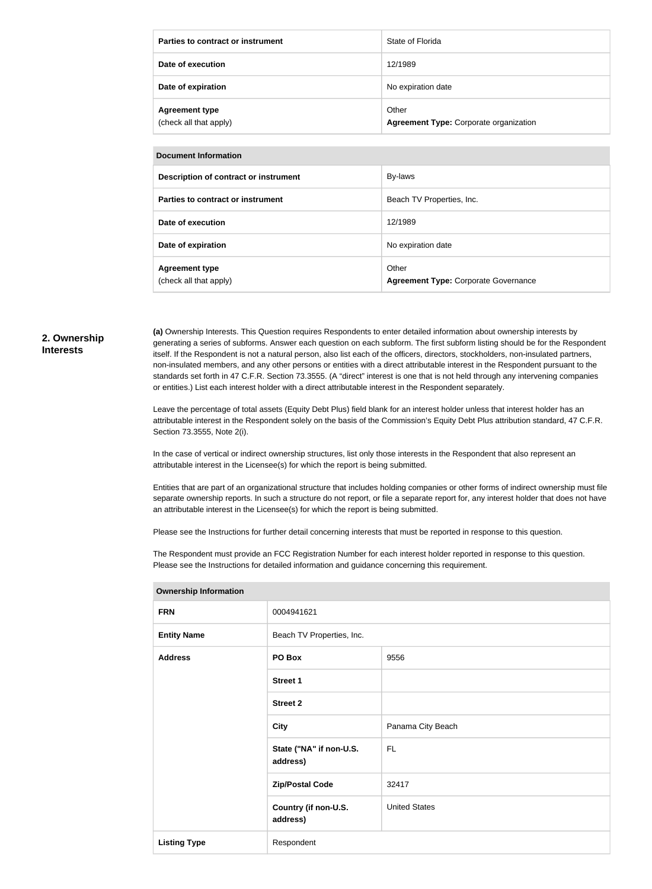| Parties to contract or instrument               | State of Florida                                |
|-------------------------------------------------|-------------------------------------------------|
| Date of execution                               | 12/1989                                         |
| Date of expiration                              | No expiration date                              |
| <b>Agreement type</b><br>(check all that apply) | Other<br>Agreement Type: Corporate organization |

#### **Document Information**

| Description of contract or instrument           | By-laws                                              |
|-------------------------------------------------|------------------------------------------------------|
| Parties to contract or instrument               | Beach TV Properties, Inc.                            |
| Date of execution                               | 12/1989                                              |
| Date of expiration                              | No expiration date                                   |
| <b>Agreement type</b><br>(check all that apply) | Other<br><b>Agreement Type: Corporate Governance</b> |

#### **2. Ownership Interests**

**(a)** Ownership Interests. This Question requires Respondents to enter detailed information about ownership interests by generating a series of subforms. Answer each question on each subform. The first subform listing should be for the Respondent itself. If the Respondent is not a natural person, also list each of the officers, directors, stockholders, non-insulated partners, non-insulated members, and any other persons or entities with a direct attributable interest in the Respondent pursuant to the standards set forth in 47 C.F.R. Section 73.3555. (A "direct" interest is one that is not held through any intervening companies or entities.) List each interest holder with a direct attributable interest in the Respondent separately.

Leave the percentage of total assets (Equity Debt Plus) field blank for an interest holder unless that interest holder has an attributable interest in the Respondent solely on the basis of the Commission's Equity Debt Plus attribution standard, 47 C.F.R. Section 73.3555, Note 2(i).

In the case of vertical or indirect ownership structures, list only those interests in the Respondent that also represent an attributable interest in the Licensee(s) for which the report is being submitted.

Entities that are part of an organizational structure that includes holding companies or other forms of indirect ownership must file separate ownership reports. In such a structure do not report, or file a separate report for, any interest holder that does not have an attributable interest in the Licensee(s) for which the report is being submitted.

Please see the Instructions for further detail concerning interests that must be reported in response to this question.

The Respondent must provide an FCC Registration Number for each interest holder reported in response to this question. Please see the Instructions for detailed information and guidance concerning this requirement.

| 0004941621                          |                      |  |
|-------------------------------------|----------------------|--|
| Beach TV Properties, Inc.           |                      |  |
| PO Box                              | 9556                 |  |
| Street 1                            |                      |  |
| <b>Street 2</b>                     |                      |  |
| <b>City</b>                         | Panama City Beach    |  |
| State ("NA" if non-U.S.<br>address) | <b>FL</b>            |  |
| <b>Zip/Postal Code</b>              | 32417                |  |
| Country (if non-U.S.<br>address)    | <b>United States</b> |  |
| Respondent                          |                      |  |
|                                     |                      |  |

**Ownership Information**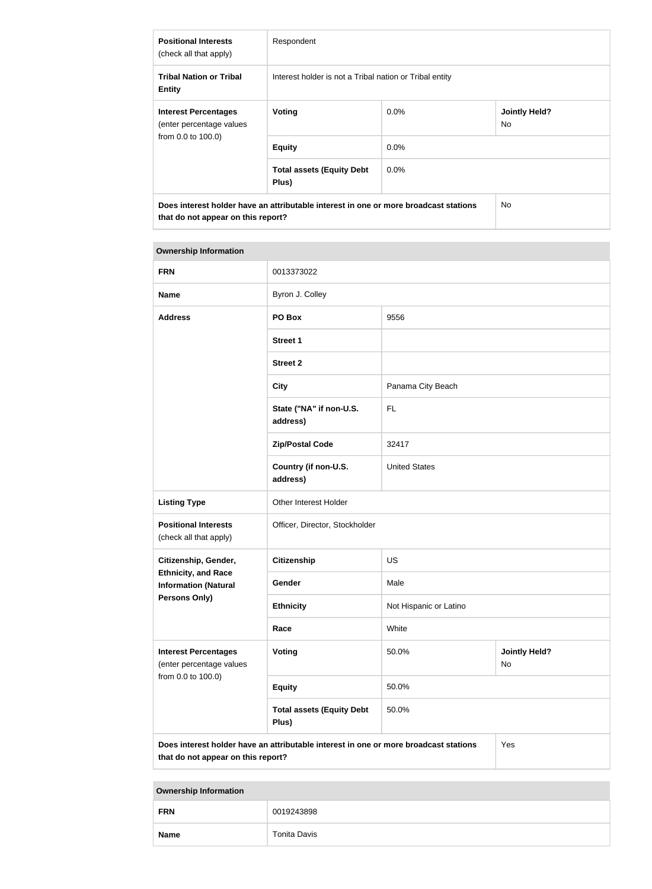| <b>Positional Interests</b><br>(check all that apply)                                                                      | Respondent                                              |         |                             |
|----------------------------------------------------------------------------------------------------------------------------|---------------------------------------------------------|---------|-----------------------------|
| <b>Tribal Nation or Tribal</b><br><b>Entity</b>                                                                            | Interest holder is not a Tribal nation or Tribal entity |         |                             |
| <b>Interest Percentages</b><br>(enter percentage values<br>from 0.0 to 100.0)                                              | Voting                                                  | $0.0\%$ | <b>Jointly Held?</b><br>No. |
|                                                                                                                            | <b>Equity</b>                                           | $0.0\%$ |                             |
|                                                                                                                            | <b>Total assets (Equity Debt</b><br>Plus)               | $0.0\%$ |                             |
| Does interest holder have an attributable interest in one or more broadcast stations<br>that do not appear on this report? |                                                         | No.     |                             |

# **Ownership Information FRN** 0013373022

| <b>LIVIA</b>                                                                                                                      | <b>UUTJJIJUZZ</b>                         |                        |                            |  |
|-----------------------------------------------------------------------------------------------------------------------------------|-------------------------------------------|------------------------|----------------------------|--|
| <b>Name</b>                                                                                                                       | Byron J. Colley                           |                        |                            |  |
| <b>Address</b>                                                                                                                    | 9556<br>PO Box                            |                        |                            |  |
|                                                                                                                                   | <b>Street 1</b>                           |                        |                            |  |
|                                                                                                                                   | <b>Street 2</b>                           |                        |                            |  |
|                                                                                                                                   | <b>City</b>                               | Panama City Beach      |                            |  |
|                                                                                                                                   | State ("NA" if non-U.S.<br>address)       | <b>FL</b>              |                            |  |
|                                                                                                                                   | <b>Zip/Postal Code</b>                    | 32417                  |                            |  |
|                                                                                                                                   | Country (if non-U.S.<br>address)          | <b>United States</b>   |                            |  |
| <b>Listing Type</b>                                                                                                               | Other Interest Holder                     |                        |                            |  |
| <b>Positional Interests</b><br>(check all that apply)                                                                             | Officer, Director, Stockholder            |                        |                            |  |
| Citizenship, Gender,                                                                                                              | <b>Citizenship</b>                        | <b>US</b>              |                            |  |
| <b>Ethnicity, and Race</b><br><b>Information (Natural</b>                                                                         | Gender                                    | Male                   |                            |  |
| <b>Persons Only)</b>                                                                                                              | <b>Ethnicity</b>                          | Not Hispanic or Latino |                            |  |
|                                                                                                                                   | Race                                      | White                  |                            |  |
| <b>Interest Percentages</b><br>(enter percentage values                                                                           | Voting                                    | 50.0%                  | <b>Jointly Held?</b><br>No |  |
| from 0.0 to 100.0)                                                                                                                | <b>Equity</b>                             | 50.0%                  |                            |  |
|                                                                                                                                   | <b>Total assets (Equity Debt</b><br>Plus) | 50.0%                  |                            |  |
| Does interest holder have an attributable interest in one or more broadcast stations<br>Yes<br>that do not appear on this report? |                                           |                        |                            |  |

**Ownership Information**

| <b>FRN</b>  | 0019243898          |  |  |
|-------------|---------------------|--|--|
| <b>Name</b> | <b>Tonita Davis</b> |  |  |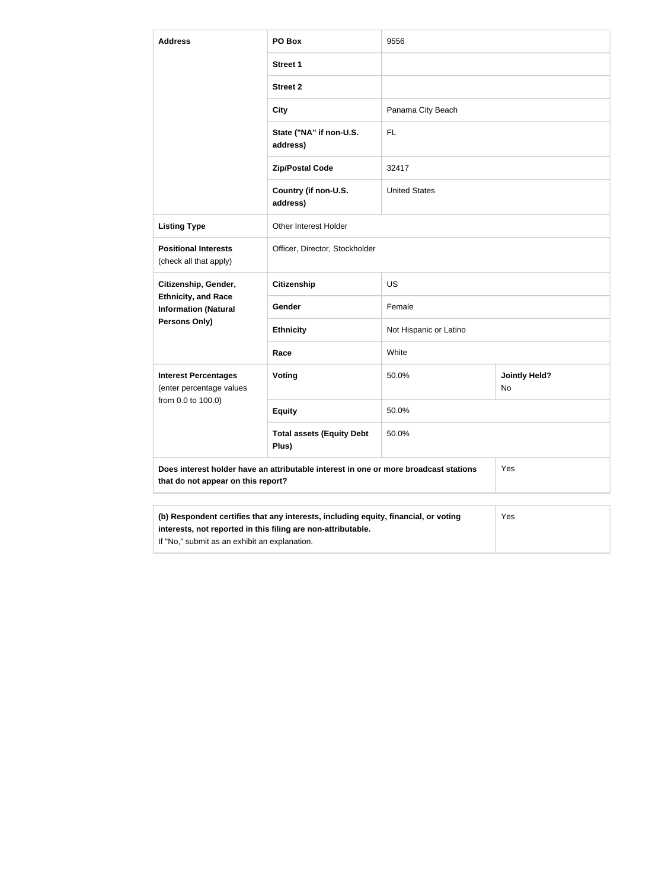| <b>Address</b>                                            | PO Box                                                                               | 9556                   |                            |
|-----------------------------------------------------------|--------------------------------------------------------------------------------------|------------------------|----------------------------|
|                                                           | <b>Street 1</b>                                                                      |                        |                            |
|                                                           | <b>Street 2</b>                                                                      |                        |                            |
|                                                           | <b>City</b>                                                                          | Panama City Beach      |                            |
|                                                           | State ("NA" if non-U.S.<br>address)                                                  | <b>FL</b>              |                            |
|                                                           | <b>Zip/Postal Code</b>                                                               | 32417                  |                            |
|                                                           | Country (if non-U.S.<br>address)                                                     | <b>United States</b>   |                            |
| <b>Listing Type</b>                                       | <b>Other Interest Holder</b>                                                         |                        |                            |
| <b>Positional Interests</b><br>(check all that apply)     | Officer, Director, Stockholder                                                       |                        |                            |
| Citizenship, Gender,                                      | <b>Citizenship</b>                                                                   | <b>US</b>              |                            |
| <b>Ethnicity, and Race</b><br><b>Information (Natural</b> | Gender                                                                               | Female                 |                            |
| Persons Only)                                             | <b>Ethnicity</b>                                                                     | Not Hispanic or Latino |                            |
|                                                           | Race                                                                                 | White                  |                            |
| <b>Interest Percentages</b><br>(enter percentage values   | Voting                                                                               | 50.0%                  | <b>Jointly Held?</b><br>No |
| from 0.0 to 100.0)                                        | <b>Equity</b>                                                                        | 50.0%                  |                            |
|                                                           | <b>Total assets (Equity Debt</b><br>Plus)                                            | 50.0%                  |                            |
| that do not appear on this report?                        | Does interest holder have an attributable interest in one or more broadcast stations |                        | Yes                        |
|                                                           | (b) Respondent certifies that any interests, including equity, financial, or voting  |                        | Yes                        |

| $\sim$ , $\sim$ , $\sim$ , $\sim$ , $\sim$ , $\sim$ , $\sim$ , $\sim$ , $\sim$ , $\sim$ , $\sim$ , $\sim$ , $\sim$ , $\sim$ , $\sim$ , $\sim$ , $\sim$ , $\sim$ , $\sim$ , $\sim$ , $\sim$ , $\sim$ , $\sim$ , $\sim$ , $\sim$ , $\sim$ , $\sim$ , $\sim$ , $\sim$ , $\sim$ , $\sim$ , $\sim$ |
|-----------------------------------------------------------------------------------------------------------------------------------------------------------------------------------------------------------------------------------------------------------------------------------------------|
| interests, not reported in this filing are non-attributable.                                                                                                                                                                                                                                  |

If "No," submit as an exhibit an explanation.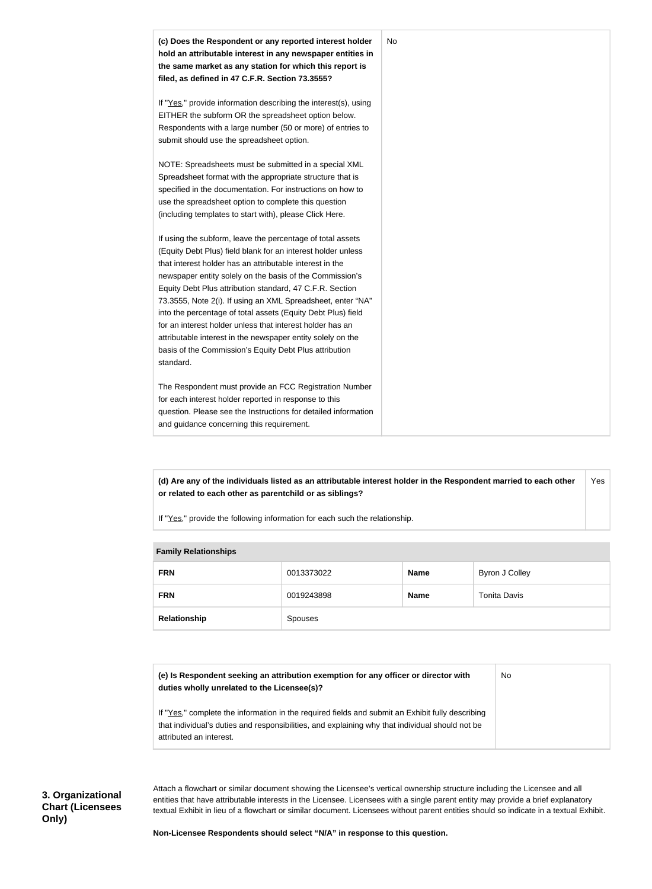

**(d) Are any of the individuals listed as an attributable interest holder in the Respondent married to each other or related to each other as parentchild or as siblings?** Yes

If "Yes," provide the following information for each such the relationship.

## **Family Relationships**

| <b>FRN</b>   | 0013373022 | <b>Name</b> | Byron J Colley |
|--------------|------------|-------------|----------------|
| <b>FRN</b>   | 0019243898 | <b>Name</b> | Tonita Davis   |
| Relationship | Spouses    |             |                |

| (e) Is Respondent seeking an attribution exemption for any officer or director with<br>duties wholly unrelated to the Licensee(s)?                                                                                             | No |
|--------------------------------------------------------------------------------------------------------------------------------------------------------------------------------------------------------------------------------|----|
| If "Yes," complete the information in the required fields and submit an Exhibit fully describing<br>that individual's duties and responsibilities, and explaining why that individual should not be<br>attributed an interest. |    |

Attach a flowchart or similar document showing the Licensee's vertical ownership structure including the Licensee and all entities that have attributable interests in the Licensee. Licensees with a single parent entity may provide a brief explanatory textual Exhibit in lieu of a flowchart or similar document. Licensees without parent entities should so indicate in a textual Exhibit.

**Non-Licensee Respondents should select "N/A" in response to this question.**